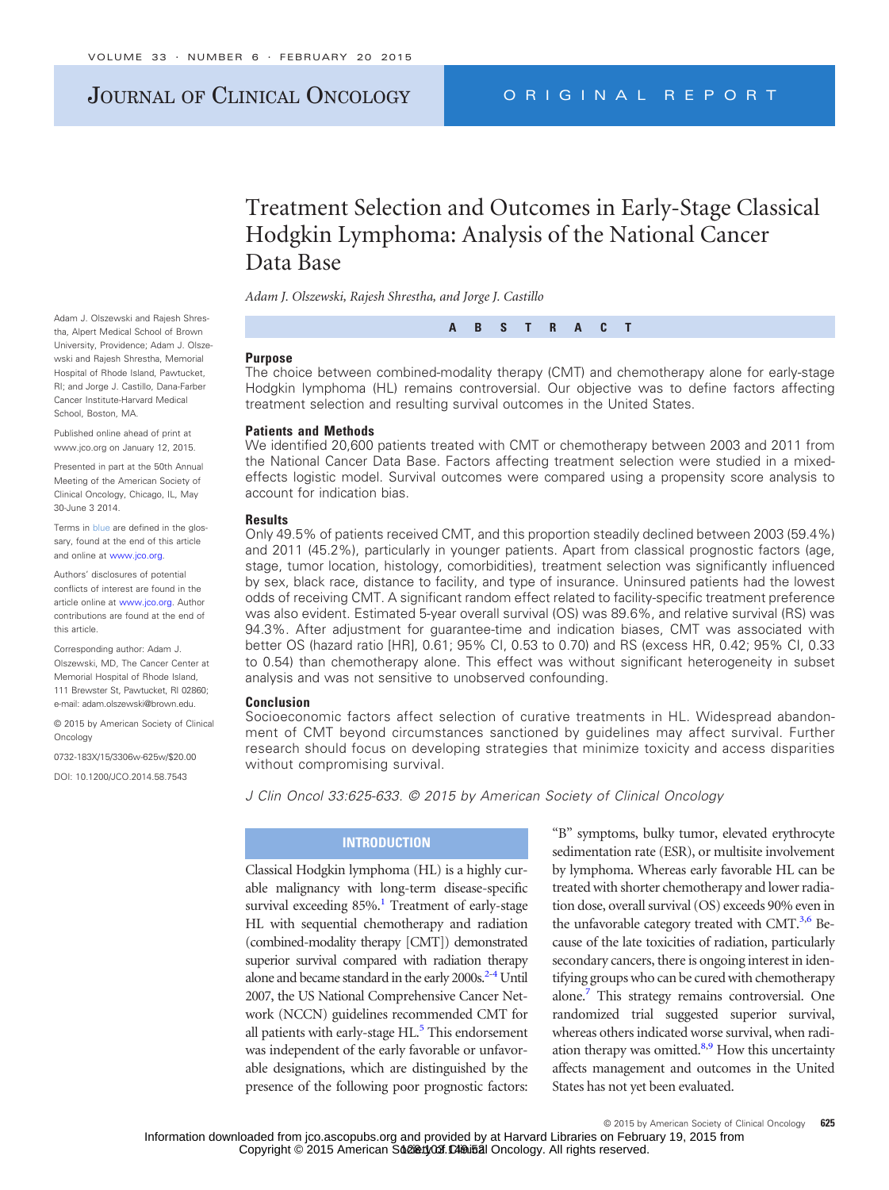# JOURNAL OF CLINICAL ONCOLOGY ORIGINAL REPORT

# Treatment Selection and Outcomes in Early-Stage Classical Hodgkin Lymphoma: Analysis of the National Cancer Data Base

*Adam J. Olszewski, Rajesh Shrestha, and Jorge J. Castillo*

**ABSTRACT**

#### **Purpose**

The choice between combined-modality therapy (CMT) and chemotherapy alone for early-stage Hodgkin lymphoma (HL) remains controversial. Our objective was to define factors affecting treatment selection and resulting survival outcomes in the United States.

## **Patients and Methods**

We identified 20,600 patients treated with CMT or chemotherapy between 2003 and 2011 from the National Cancer Data Base. Factors affecting treatment selection were studied in a mixedeffects logistic model. Survival outcomes were compared using a propensity score analysis to account for indication bias.

#### **Results**

Only 49.5% of patients received CMT, and this proportion steadily declined between 2003 (59.4%) and 2011 (45.2%), particularly in younger patients. Apart from classical prognostic factors (age, stage, tumor location, histology, comorbidities), treatment selection was significantly influenced by sex, black race, distance to facility, and type of insurance. Uninsured patients had the lowest odds of receiving CMT. A significant random effect related to facility-specific treatment preference was also evident. Estimated 5-year overall survival (OS) was 89.6%, and relative survival (RS) was 94.3%. After adjustment for guarantee-time and indication biases, CMT was associated with better OS (hazard ratio [HR], 0.61; 95% CI, 0.53 to 0.70) and RS (excess HR, 0.42; 95% CI, 0.33 to 0.54) than chemotherapy alone. This effect was without significant heterogeneity in subset analysis and was not sensitive to unobserved confounding.

#### **Conclusion**

Socioeconomic factors affect selection of curative treatments in HL. Widespread abandonment of CMT beyond circumstances sanctioned by guidelines may affect survival. Further research should focus on developing strategies that minimize toxicity and access disparities without compromising survival.

*J Clin Oncol 33:625-633. © 2015 by American Society of Clinical Oncology*

# **INTRODUCTION**

Classical Hodgkin lymphoma (HL) is a highly curable malignancy with long-term disease-specific survival exceeding  $85\%$ .<sup>1</sup> Treatment of early-stage HL with sequential chemotherapy and radiation (combined-modality therapy [CMT]) demonstrated superior survival compared with radiation therapy alone and became standard in the early 2000s.<sup>2[-4](#page-6-2)</sup> Until 2007, the US National Comprehensive Cancer Network (NCCN) guidelines recommended CMT for all patients with early-stage  $HL$ .<sup>5</sup> This endorsement was independent of the early favorable or unfavorable designations, which are distinguished by the presence of the following poor prognostic factors:

"B" symptoms, bulky tumor, elevated erythrocyte sedimentation rate (ESR), or multisite involvement by lymphoma. Whereas early favorable HL can be treated with shorter chemotherapy and lower radiation dose, overall survival (OS) exceeds 90% even in the unfavorable category treated with CMT. $3,6$  $3,6$  Because of the late toxicities of radiation, particularly secondary cancers, there is ongoing interest in identifying groups who can be cured with chemotherapy alone[.7](#page-6-6) This strategy remains controversial. One randomized trial suggested superior survival, whereas others indicated worse survival, when radiation therapy was omitted. $8.9$  $8.9$  How this uncertainty affects management and outcomes in the United States has not yet been evaluated.

© 2015 by American Society of Clinical Oncology **625**

Adam J. Olszewski and Rajesh Shrestha, Alpert Medical School of Brown University, Providence; Adam J. Olszewski and Rajesh Shrestha, Memorial Hospital of Rhode Island, Pawtucket, RI; and Jorge J. Castillo, Dana-Farber Cancer Institute-Harvard Medical School, Boston, MA.

Published online ahead of print at www.jco.org on January 12, 2015.

Presented in part at the 50th Annual Meeting of the American Society of Clinical Oncology, Chicago, IL, May 30-June 3 2014.

Terms in blue are defined in the glossary, found at the end of this article and online at [www.jco.org.](http://www.jco.org)

Authors' disclosures of potential conflicts of interest are found in the article online at [www.jco.org.](http://www.jco.org) Author contributions are found at the end of this article.

Corresponding author: Adam J. Olszewski, MD, The Cancer Center at Memorial Hospital of Rhode Island, 111 Brewster St, Pawtucket, RI 02860; e-mail: [adam.olszewski@brown.edu.](mailto:adam.olszewski@brown.edu)

© 2015 by American Society of Clinical **Oncology** 

0732-183X/15/3306w-625w/\$20.00

DOI: [10.1200/JCO.2014.58.7543](http://dx.doi.org/10.1200/JCO.2014.58.7543)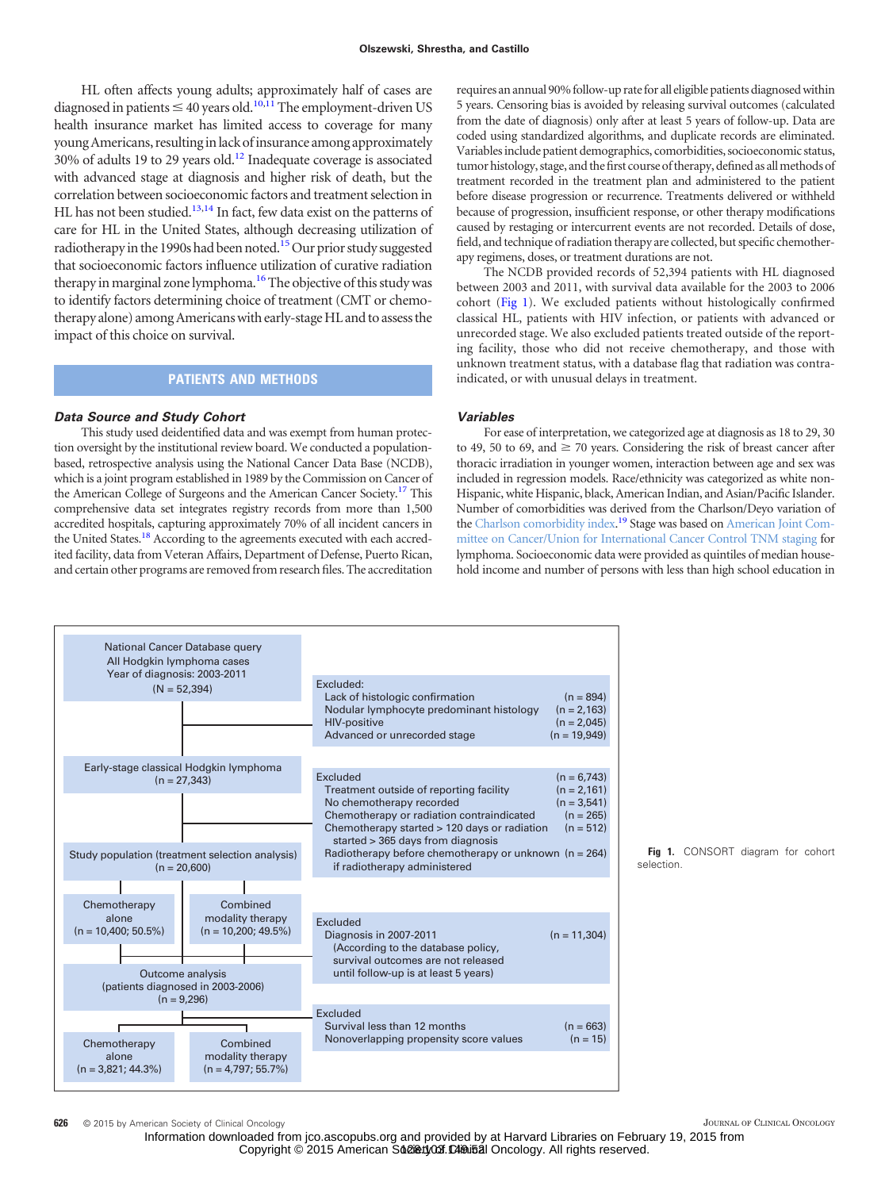HL often affects young adults; approximately half of cases are diagnosed in patients  $\leq 40$  years old.<sup>10,[11](#page-6-10)</sup> The employment-driven US health insurance market has limited access to coverage for many young Americans, resulting in lack of insurance among approximately 30% of adults 19 to 29 years old[.12](#page-6-11) Inadequate coverage is associated with advanced stage at diagnosis and higher risk of death, but the correlation between socioeconomic factors and treatment selection in HL has not been studied.<sup>13,[14](#page-6-13)</sup> In fact, few data exist on the patterns of care for HL in the United States, although decreasing utilization of radiotherapy in the 1990s had been noted.<sup>15</sup> Our prior study suggested that socioeconomic factors influence utilization of curative radiation therapy in marginal zone lymphoma.<sup>16</sup> The objective of this study was to identify factors determining choice of treatment (CMT or chemotherapy alone) amongAmericanswith early-stage HL and to assess the impact of this choice on survival.

# **PATIENTS AND METHODS**

## *Data Source and Study Cohort*

This study used deidentified data and was exempt from human protection oversight by the institutional review board. We conducted a populationbased, retrospective analysis using the National Cancer Data Base (NCDB), which is a joint program established in 1989 by the Commission on Cancer of the American College of Surgeons and the American Cancer Society.<sup>17</sup> This comprehensive data set integrates registry records from more than 1,500 accredited hospitals, capturing approximately 70% of all incident cancers in the United States.<sup>18</sup> According to the agreements executed with each accredited facility, data from Veteran Affairs, Department of Defense, Puerto Rican, and certain other programs are removed from research files. The accreditation

requires an annual 90% follow-up rate for all eligible patients diagnosed within 5 years. Censoring bias is avoided by releasing survival outcomes (calculated from the date of diagnosis) only after at least 5 years of follow-up. Data are coded using standardized algorithms, and duplicate records are eliminated. Variables include patient demographics, comorbidities, socioeconomic status, tumor histology, stage, and the first course of therapy, defined as allmethods of treatment recorded in the treatment plan and administered to the patient before disease progression or recurrence. Treatments delivered or withheld because of progression, insufficient response, or other therapy modifications caused by restaging or intercurrent events are not recorded. Details of dose, field, and technique of radiation therapy are collected, but specific chemotherapy regimens, doses, or treatment durations are not.

The NCDB provided records of 52,394 patients with HL diagnosed between 2003 and 2011, with survival data available for the 2003 to 2006 cohort [\(Fig 1\)](#page-1-0). We excluded patients without histologically confirmed classical HL, patients with HIV infection, or patients with advanced or unrecorded stage. We also excluded patients treated outside of the reporting facility, those who did not receive chemotherapy, and those with unknown treatment status, with a database flag that radiation was contraindicated, or with unusual delays in treatment.

#### *Variables*

For ease of interpretation, we categorized age at diagnosis as 18 to 29, 30 to 49, 50 to 69, and  $\geq$  70 years. Considering the risk of breast cancer after thoracic irradiation in younger women, interaction between age and sex was included in regression models. Race/ethnicity was categorized as white non-Hispanic, white Hispanic, black, American Indian, and Asian/Pacific Islander. Number of comorbidities was derived from the Charlson/Deyo variation of the Charlson comorbidity index.<sup>[19](#page-7-2)</sup> Stage was based on American Joint Committee on Cancer/Union for International Cancer Control TNM staging for lymphoma. Socioeconomic data were provided as quintiles of median household income and number of persons with less than high school education in



<span id="page-1-0"></span>Fig 1. CONSORT diagram for cohort selection.

**626** © 2015 by American Society of Clinical Oncology JOURNAL OF CLINICAL ONCOLOGY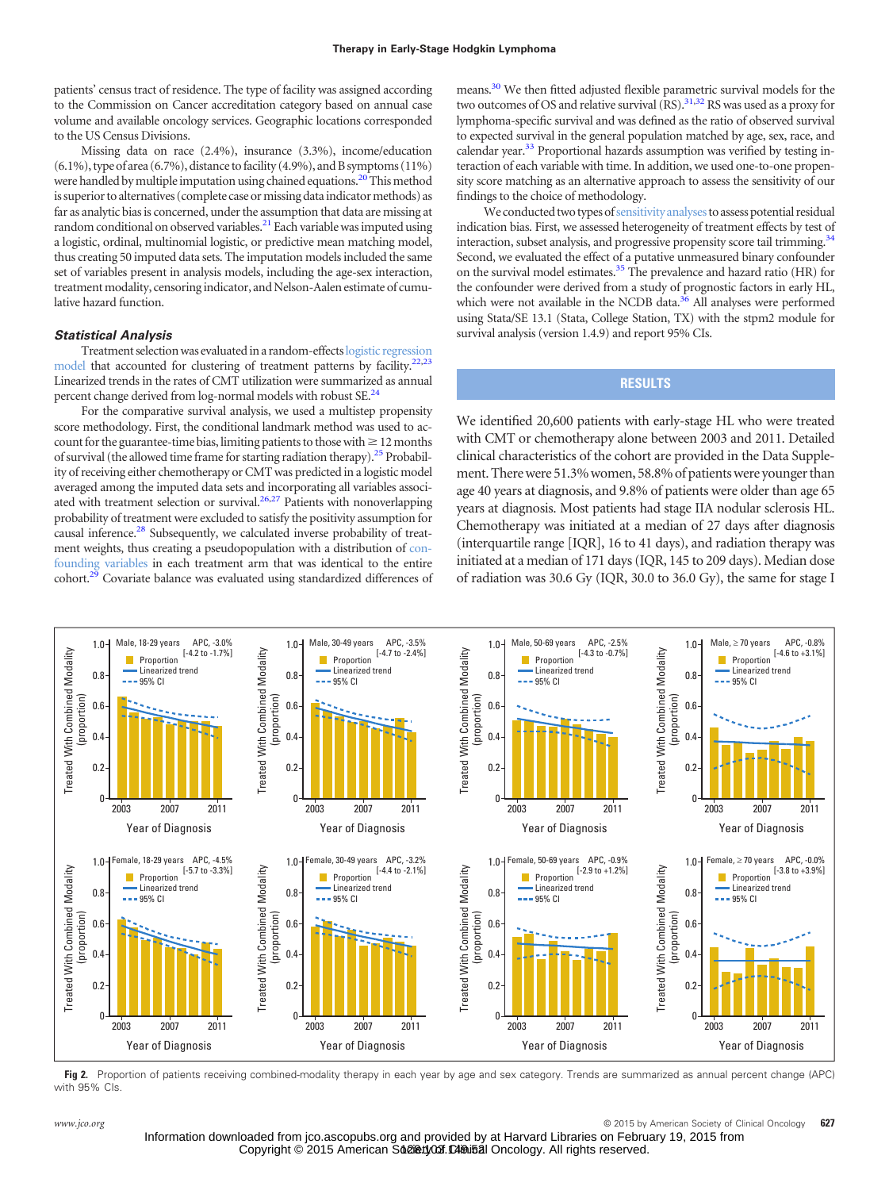patients' census tract of residence. The type of facility was assigned according to the Commission on Cancer accreditation category based on annual case volume and available oncology services. Geographic locations corresponded to the US Census Divisions.

Missing data on race (2.4%), insurance (3.3%), income/education (6.1%), type of area (6.7%), distance tofacility (4.9%), and B symptoms (11%) were handled by multiple imputation using chained equations.<sup>20</sup>This method is superior to alternatives (complete case or missing data indicator methods) as far as analytic bias is concerned, under the assumption that data are missing at random conditional on observed variables.<sup>21</sup> Each variable was imputed using a logistic, ordinal, multinomial logistic, or predictive mean matching model, thus creating 50 imputed data sets. The imputation models included the same set of variables present in analysis models, including the age-sex interaction, treatment modality, censoring indicator, and Nelson-Aalen estimate of cumulative hazard function.

## *Statistical Analysis*

Treatment selection was evaluated in a random-effects logistic regression model that accounted for clustering of treatment patterns by facility.<sup>22[,23](#page-7-6)</sup> Linearized trends in the rates of CMT utilization were summarized as annual percent change derived from log-normal models with robust SE.<sup>24</sup>

For the comparative survival analysis, we used a multistep propensity score methodology. First, the conditional landmark method was used to account for the guarantee-time bias, limiting patients to those with  $\geq 12$  months of survival (the allowed time frame for starting radiation therapy).<sup>25</sup> Probability of receiving either chemotherapy or CMT was predicted in a logistic model averaged among the imputed data sets and incorporating all variables associated with treatment selection or survival. $26,27$  $26,27$  Patients with nonoverlapping probability of treatment were excluded to satisfy the positivity assumption for causal inference.<sup>28</sup> Subsequently, we calculated inverse probability of treatment weights, thus creating a pseudopopulation with a distribution of confounding variables in each treatment arm that was identical to the entire cohort.<sup>29</sup> Covariate balance was evaluated using standardized differences of means[.30](#page-7-13) We then fitted adjusted flexible parametric survival models for the two outcomes of OS and relative survival  $(RS)$ .<sup>31[,32](#page-7-15)</sup> RS was used as a proxy for lymphoma-specific survival and was defined as the ratio of observed survival to expected survival in the general population matched by age, sex, race, and calendar year.<sup>33</sup> Proportional hazards assumption was verified by testing interaction of each variable with time. In addition, we used one-to-one propensity score matching as an alternative approach to assess the sensitivity of our findings to the choice of methodology.

We conducted two types of sensitivity analyses to assess potential residual indication bias. First, we assessed heterogeneity of treatment effects by test of interaction, subset analysis, and progressive propensity score tail trimming.<sup>34</sup> Second, we evaluated the effect of a putative unmeasured binary confounder on the survival model estimates.<sup>35</sup> The prevalence and hazard ratio (HR) for the confounder were derived from a study of prognostic factors in early HL, which were not available in the NCDB data. $36$  All analyses were performed using Stata/SE 13.1 (Stata, College Station, TX) with the stpm2 module for survival analysis (version 1.4.9) and report 95% CIs.

# **RESULTS**

We identified 20,600 patients with early-stage HL who were treated with CMT or chemotherapy alone between 2003 and 2011. Detailed clinical characteristics of the cohort are provided in the Data Supplement. There were 51.3% women, 58.8% of patients were younger than age 40 years at diagnosis, and 9.8% of patients were older than age 65 years at diagnosis. Most patients had stage IIA nodular sclerosis HL. Chemotherapy was initiated at a median of 27 days after diagnosis (interquartile range [IQR], 16 to 41 days), and radiation therapy was initiated at a median of 171 days (IQR, 145 to 209 days). Median dose of radiation was 30.6 Gy (IQR, 30.0 to 36.0 Gy), the same for stage I



<span id="page-2-0"></span>Fig 2. Proportion of patients receiving combined-modality therapy in each year by age and sex category. Trends are summarized as annual percent change (APC) with 95% CIs.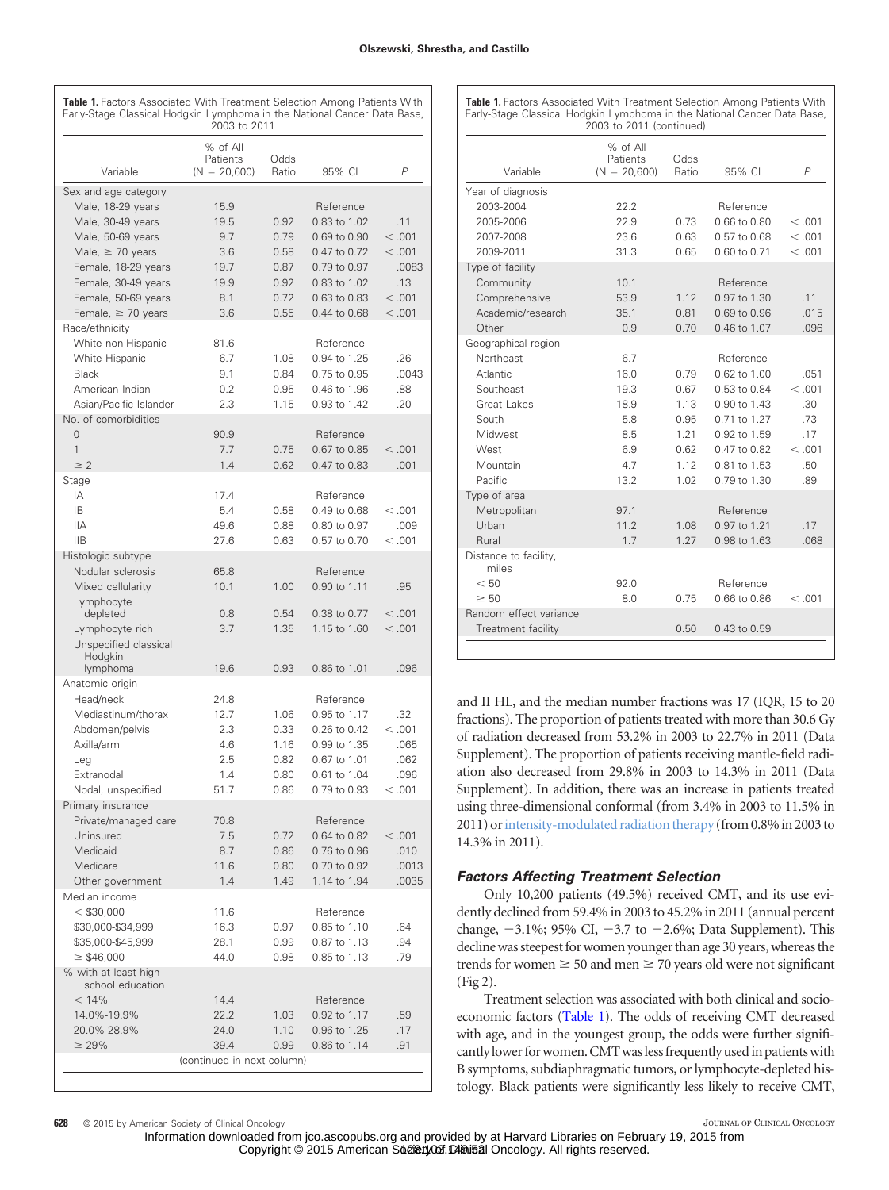| Variable                                 | % of All<br>Patients<br>$(N = 20,600)$ | Odds<br>Ratio | 95% CI                       | $\overline{P}$ |
|------------------------------------------|----------------------------------------|---------------|------------------------------|----------------|
| Sex and age category                     |                                        |               |                              |                |
| Male, 18-29 years                        | 15.9                                   |               | Reference                    |                |
| Male, 30-49 years                        | 19.5                                   | 0.92          | 0.83 to 1.02                 | .11            |
| Male, 50-69 years                        | 9.7                                    | 0.79          | 0.69 to 0.90                 | < 0.001        |
| Male, $\geq 70$ years                    | 3.6                                    | 0.58          | 0.47 to 0.72                 | < 0.001        |
| Female, 18-29 years                      | 19.7                                   | 0.87          | 0.79 to 0.97                 | .0083          |
| Female, 30-49 years                      | 19.9                                   | 0.92          | 0.83 to 1.02                 | .13            |
| Female, 50-69 years                      | 8.1                                    | 0.72          | 0.63 to 0.83                 | < 0.001        |
| Female, $\geq$ 70 years                  | 3.6                                    | 0.55          | 0.44 to 0.68                 | < 0.001        |
| Race/ethnicity                           |                                        |               |                              |                |
| White non-Hispanic                       | 81.6                                   |               | Reference                    |                |
| White Hispanic                           | 6.7                                    | 1.08          | 0.94 to 1.25                 | .26            |
| <b>Black</b>                             | 9.1                                    | 0.84          | 0.75 to 0.95                 | .0043          |
| American Indian                          | 0.2                                    | 0.95          | 0.46 to 1.96                 | .88            |
| Asian/Pacific Islander                   | 2.3                                    | 1.15          | 0.93 to 1.42                 | .20            |
| No. of comorbidities                     |                                        |               |                              |                |
| $\overline{0}$<br>1                      | 90.9                                   |               | Reference                    |                |
| $\geq$ 2                                 | 7.7                                    | 0.75          | 0.67 to 0.85                 | < 0.001        |
| Stage                                    | 1.4                                    | 0.62          | 0.47 to 0.83                 | .001           |
| IA                                       | 17.4                                   |               | Reference                    |                |
| ΙB.                                      | 5.4                                    | 0.58          | 0.49 to 0.68                 | < 0.001        |
| <b>IIA</b>                               | 49.6                                   | 0.88          | 0.80 to 0.97                 | .009           |
| <b>IIB</b>                               | 27.6                                   | 0.63          | 0.57 to 0.70                 | < 0.001        |
| Histologic subtype                       |                                        |               |                              |                |
| Nodular sclerosis                        | 65.8                                   |               | Reference                    |                |
| Mixed cellularity                        | 10.1                                   | 1.00          | 0.90 to 1.11                 | .95            |
| Lymphocyte                               |                                        |               |                              |                |
| depleted                                 | 0.8                                    | 0.54          | 0.38 to 0.77                 | < 0.001        |
| Lymphocyte rich                          | 3.7                                    | 1.35          | 1.15 to 1.60                 | < 0.001        |
| Unspecified classical                    |                                        |               |                              |                |
| Hodgkin<br>lymphoma                      | 19.6                                   | 0.93          | 0.86 to 1.01                 | .096           |
| Anatomic origin                          |                                        |               |                              |                |
| Head/neck                                | 24.8                                   |               | Reference                    |                |
| Mediastinum/thorax                       | 12.7                                   | 1.06          | 0.95 to 1.17                 | .32            |
| Abdomen/pelvis                           | 2.3                                    | 0.33          | 0.26 to 0.42                 | < 0.001        |
| Axilla/arm                               | 4.6                                    | 1.16          | 0.99 to 1.35                 | .065           |
| Leg                                      | 2.5                                    | 0.82          | 0.67 to 1.01                 | .062           |
| Extranodal                               | 1.4                                    | 0.80          | 0.61 to 1.04                 | .096           |
| Nodal, unspecified                       | 51.7                                   | 0.86          | 0.79 to 0.93                 | < 0.001        |
| Primary insurance                        |                                        |               |                              |                |
| Private/managed care                     | 70.8                                   |               | Reference                    |                |
| Uninsured                                | 7.5                                    | 0.72          | 0.64 to 0.82                 | < 0.001        |
| Medicaid                                 | 8.7                                    | 0.86          | 0.76 to 0.96                 | .010           |
| Medicare                                 | 11.6                                   | 0.80          | 0.70 to 0.92                 | .0013          |
| Other government                         | 1.4                                    | 1.49          | 1.14 to 1.94                 | .0035          |
| Median income                            |                                        |               |                              |                |
| $<$ \$30,000                             | 11.6                                   |               | Reference                    |                |
| \$30,000-\$34,999                        | 16.3                                   | 0.97          | 0.85 to 1.10                 | .64            |
| \$35,000-\$45,999                        | 28.1                                   | 0.99          | 0.87 to 1.13                 | .94            |
| $\geq$ \$46,000                          | 44.0                                   | 0.98          | 0.85 to 1.13                 | .79            |
| % with at least high<br>school education |                                        |               |                              |                |
| < 14%                                    | 14.4                                   |               | Reference                    |                |
|                                          | 22.2                                   | 1.03          | 0.92 to 1.17                 | .59            |
| 14.0%-19.9%                              |                                        |               |                              |                |
| 20.0%-28.9%<br>$\geq 29\%$               | 24.0<br>39.4                           | 1.10<br>0.99  | 0.96 to 1.25<br>0.86 to 1.14 | .17<br>.91     |

<span id="page-3-0"></span>**Table 1.** Factors Associated With Treatment Selection Among Patients With

| <b>Table 1.</b> Factors Associated With Treatment Selection Among Patients With |
|---------------------------------------------------------------------------------|
| Early-Stage Classical Hodgkin Lymphoma in the National Cancer Data Base,        |
| 2003 to 2011 (continued)                                                        |

| Variable                       | % of All<br>Patients<br>$(N = 20,600)$ | Odds<br>Ratio | 95% CI           | P     |
|--------------------------------|----------------------------------------|---------------|------------------|-------|
| Year of diagnosis              |                                        |               |                  |       |
| 2003-2004                      | 22.2                                   |               | Reference        |       |
| 2005-2006                      | 22.9                                   | 0.73          | $0.66$ to $0.80$ | <.001 |
| 2007-2008                      | 23.6                                   | 0.63          | $0.57$ to $0.68$ | <.001 |
| 2009-2011                      | 31.3                                   | 0.65          | $0.60$ to $0.71$ | <.001 |
| Type of facility               |                                        |               |                  |       |
| Community                      | 10.1                                   |               | Reference        |       |
| Comprehensive                  | 53.9                                   | 1.12          | 0.97 to 1.30     | .11   |
| Academic/research              | 35.1                                   | 0.81          | $0.69$ to $0.96$ | .015  |
| Other                          | 0.9                                    | 0.70          | 0.46 to 1.07     | .096  |
| Geographical region            |                                        |               |                  |       |
| Northeast                      | 6.7                                    |               | Reference        |       |
| Atlantic                       | 160                                    | 0.79          | $0.62$ to $1.00$ | 051   |
| Southeast                      | 19.3                                   | 0.67          | $0.53$ to $0.84$ | <.001 |
| <b>Great Lakes</b>             | 18.9                                   | 1.13          | 0.90 to 1.43     | .30   |
| South                          | 5.8                                    | 0.95          | 0.71 to 1.27     | .73   |
| Midwest                        | 8.5                                    | 1.21          | 0.92 to 1.59     | .17   |
| West                           | 6.9                                    | 0.62          | $0.47$ to $0.82$ | <.001 |
| Mountain                       | 4.7                                    | 1.12          | 0.81 to 1.53     | .50   |
| Pacific                        | 13.2                                   | 1.02          | 0.79 to 1.30     | .89   |
| Type of area                   |                                        |               |                  |       |
| Metropolitan                   | 97.1                                   |               | Reference        |       |
| Urban                          | 11.2                                   | 1.08          | 0.97 to 1.21     | .17   |
| Rural                          | 1.7                                    | 1 27          | 0.98 to 1.63     | .068  |
| Distance to facility,<br>miles |                                        |               |                  |       |
| < 50                           | 92.0                                   |               | Reference        |       |
| $\geq 50$                      | 8.0                                    | 0.75          | $0.66$ to $0.86$ | <.001 |
| Random effect variance         |                                        |               |                  |       |
| Treatment facility             |                                        | 0.50          | 0.43 to 0.59     |       |

and II HL, and the median number fractions was 17 (IQR, 15 to 20 fractions). The proportion of patients treated with more than 30.6 Gy of radiation decreased from 53.2% in 2003 to 22.7% in 2011 (Data Supplement). The proportion of patients receiving mantle-field radiation also decreased from 29.8% in 2003 to 14.3% in 2011 (Data Supplement). In addition, there was an increase in patients treated using three-dimensional conformal (from 3.4% in 2003 to 11.5% in 2011) or intensity-modulated radiation therapy (from 0.8% in 2003 to 14.3% in 2011).

# *Factors Affecting Treatment Selection*

Only 10,200 patients (49.5%) received CMT, and its use evidently declined from 59.4% in 2003 to 45.2% in 2011 (annual percent change,  $-3.1\%$ ; 95% CI,  $-3.7$  to  $-2.6\%$ ; Data Supplement). This decline was steepest for women younger than age 30 years, whereas the trends for women  $\geq 50$  and men  $\geq 70$  years old were not significant (Fig 2).

Treatment selection was associated with both clinical and socioeconomic factors [\(Table 1\)](#page-3-0). The odds of receiving CMT decreased with age, and in the youngest group, the odds were further significantly lower for women. CMT was less frequently used in patients with B symptoms, subdiaphragmatic tumors, or lymphocyte-depleted histology. Black patients were significantly less likely to receive CMT,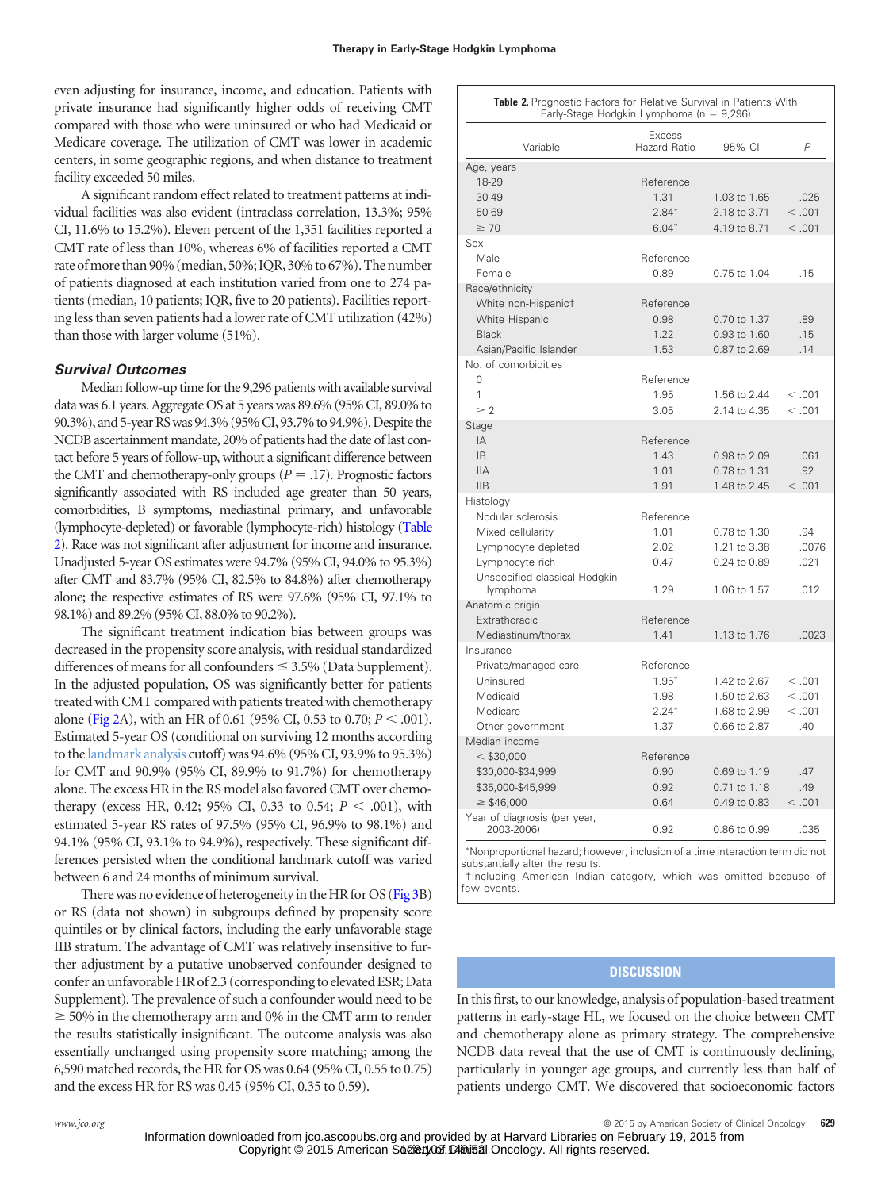even adjusting for insurance, income, and education. Patients with private insurance had significantly higher odds of receiving CMT compared with those who were uninsured or who had Medicaid or Medicare coverage. The utilization of CMT was lower in academic centers, in some geographic regions, and when distance to treatment facility exceeded 50 miles.

A significant random effect related to treatment patterns at individual facilities was also evident (intraclass correlation, 13.3%; 95% CI, 11.6% to 15.2%). Eleven percent of the 1,351 facilities reported a CMT rate of less than 10%, whereas 6% of facilities reported a CMT rate of more than 90% (median, 50%; IQR, 30% to 67%). The number of patients diagnosed at each institution varied from one to 274 patients (median, 10 patients; IQR, five to 20 patients). Facilities reporting less than seven patients had a lower rate of CMT utilization (42%) than those with larger volume (51%).

## *Survival Outcomes*

Median follow-up time for the 9,296 patients with available survival data was 6.1 years. Aggregate OS at 5 years was 89.6% (95% CI, 89.0% to 90.3%), and 5-year RSwas 94.3% (95%CI, 93.7% to 94.9%). Despite the NCDB ascertainment mandate, 20% of patients had the date of last contact before 5 years of follow-up, without a significant difference between the CMT and chemotherapy-only groups ( $P = .17$ ). Prognostic factors significantly associated with RS included age greater than 50 years, comorbidities, B symptoms, mediastinal primary, and unfavorable (lymphocyte-depleted) or favorable (lymphocyte-rich) histology [\(Table](#page-4-0) [2\)](#page-4-0). Race was not significant after adjustment for income and insurance. Unadjusted 5-year OS estimates were 94.7% (95% CI, 94.0% to 95.3%) after CMT and 83.7% (95% CI, 82.5% to 84.8%) after chemotherapy alone; the respective estimates of RS were 97.6% (95% CI, 97.1% to 98.1%) and 89.2% (95% CI, 88.0% to 90.2%).

The significant treatment indication bias between groups was decreased in the propensity score analysis, with residual standardized differences of means for all confounders  $\leq$  3.5% (Data Supplement). In the adjusted population, OS was significantly better for patients treated with CMT compared with patients treated with chemotherapy alone [\(Fig 2A](#page-2-0)), with an HR of 0.61 (95% CI, 0.53 to 0.70;  $P < .001$ ). Estimated 5-year OS (conditional on surviving 12 months according to the landmark analysis cutoff) was 94.6% (95% CI, 93.9% to 95.3%) for CMT and 90.9% (95% CI, 89.9% to 91.7%) for chemotherapy alone. The excess HR in the RS model also favored CMT over chemotherapy (excess HR, 0.42; 95% CI, 0.33 to 0.54;  $P < .001$ ), with estimated 5-year RS rates of 97.5% (95% CI, 96.9% to 98.1%) and 94.1% (95% CI, 93.1% to 94.9%), respectively. These significant differences persisted when the conditional landmark cutoff was varied between 6 and 24 months of minimum survival.

There was no evidence of heterogeneity in the HR for OS [\(Fig 3B](#page-5-0)) or RS (data not shown) in subgroups defined by propensity score quintiles or by clinical factors, including the early unfavorable stage IIB stratum. The advantage of CMT was relatively insensitive to further adjustment by a putative unobserved confounder designed to confer an unfavorable HR of 2.3 (corresponding to elevated ESR; Data Supplement). The prevalence of such a confounder would need to be  $\geq$  50% in the chemotherapy arm and 0% in the CMT arm to render the results statistically insignificant. The outcome analysis was also essentially unchanged using propensity score matching; among the 6,590 matched records, the HR for OS was 0.64 (95% CI, 0.55 to 0.75) and the excess HR for RS was 0.45 (95% CI, 0.35 to 0.59).

<span id="page-4-0"></span>

| Table 2. Prognostic Factors for Relative Survival in Patients With<br>Early-Stage Hodgkin Lymphoma (n = 9,296)                             |                                                 |                                                              |                                     |  |  |
|--------------------------------------------------------------------------------------------------------------------------------------------|-------------------------------------------------|--------------------------------------------------------------|-------------------------------------|--|--|
| Variable                                                                                                                                   | <b>Excess</b><br>Hazard Ratio                   | 95% CI                                                       | $\overline{P}$                      |  |  |
| Age, years<br>18-29<br>30-49                                                                                                               | Reference<br>1.31                               | 1.03 to 1.65                                                 | .025                                |  |  |
| 50-69<br>$\geq 70$                                                                                                                         | $2.84*$<br>$6.04*$                              | 2.18 to 3.71<br>4.19 to 8.71                                 | < 0.001<br>< .001                   |  |  |
| Sex                                                                                                                                        |                                                 |                                                              |                                     |  |  |
| Male<br>Female                                                                                                                             | Reference<br>0.89                               | 0.75 to 1.04                                                 | .15                                 |  |  |
| Race/ethnicity<br>White non-Hispanict<br>White Hispanic<br><b>Black</b><br>Asian/Pacific Islander                                          | Reference<br>0.98<br>1.22<br>1.53               | 0.70 to 1.37<br>0.93 to 1.60<br>0.87 to 2.69                 | .89<br>.15<br>.14                   |  |  |
| No. of comorbidities<br>$\Omega$<br>1<br>$\geq 2$                                                                                          | Reference<br>1.95<br>3.05                       | 1.56 to 2.44<br>2.14 to 4.35                                 | < 0.001<br>< 0.001                  |  |  |
| Stage<br>IA<br><b>IB</b><br><b>IIA</b><br><b>IIB</b>                                                                                       | Reference<br>1.43<br>1.01<br>1.91               | 0.98 to 2.09<br>0.78 to 1.31<br>1.48 to 2.45                 | .061<br>.92<br>< .001               |  |  |
| Histology<br>Nodular sclerosis<br>Mixed cellularity<br>Lymphocyte depleted<br>Lymphocyte rich<br>Unspecified classical Hodgkin<br>lymphoma | Reference<br>1.01<br>2.02<br>0.47<br>1.29       | 0.78 to 1.30<br>1.21 to 3.38<br>0.24 to 0.89<br>1.06 to 1.57 | .94<br>.0076<br>.021<br>.012        |  |  |
| Anatomic origin<br>Extrathoracic<br>Mediastinum/thorax                                                                                     | Reference<br>1.41                               | 1.13 to 1.76                                                 | .0023                               |  |  |
| Insurance<br>Private/managed care<br>Uninsured<br>Medicaid<br>Medicare<br>Other government                                                 | Reference<br>$1.95*$<br>1.98<br>$2.24*$<br>1.37 | 1.42 to 2.67<br>1.50 to 2.63<br>1.68 to 2.99<br>0.66 to 2.87 | < .001<br>< 0.001<br>< 0.001<br>.40 |  |  |
| Median income<br>$<$ \$30,000<br>\$30,000-\$34,999<br>\$35,000-\$45,999<br>$\geq$ \$46,000                                                 | Reference<br>0.90<br>0.92<br>0.64               | 0.69 to 1.19<br>0.71 to 1.18<br>0.49 to 0.83                 | .47<br>.49<br>< 0.001               |  |  |
| Year of diagnosis (per year,<br>2003-2006)                                                                                                 | 0.92                                            | 0.86 to 0.99                                                 | .035                                |  |  |
| *Nonproportional hazard; however, inclusion of a time interaction term did not<br>substantially alter the results.                         |                                                 |                                                              |                                     |  |  |

†Including American Indian category, which was omitted because of few events.

# **DISCUSSION**

In this first, to our knowledge, analysis of population-based treatment patterns in early-stage HL, we focused on the choice between CMT and chemotherapy alone as primary strategy. The comprehensive NCDB data reveal that the use of CMT is continuously declining, particularly in younger age groups, and currently less than half of patients undergo CMT. We discovered that socioeconomic factors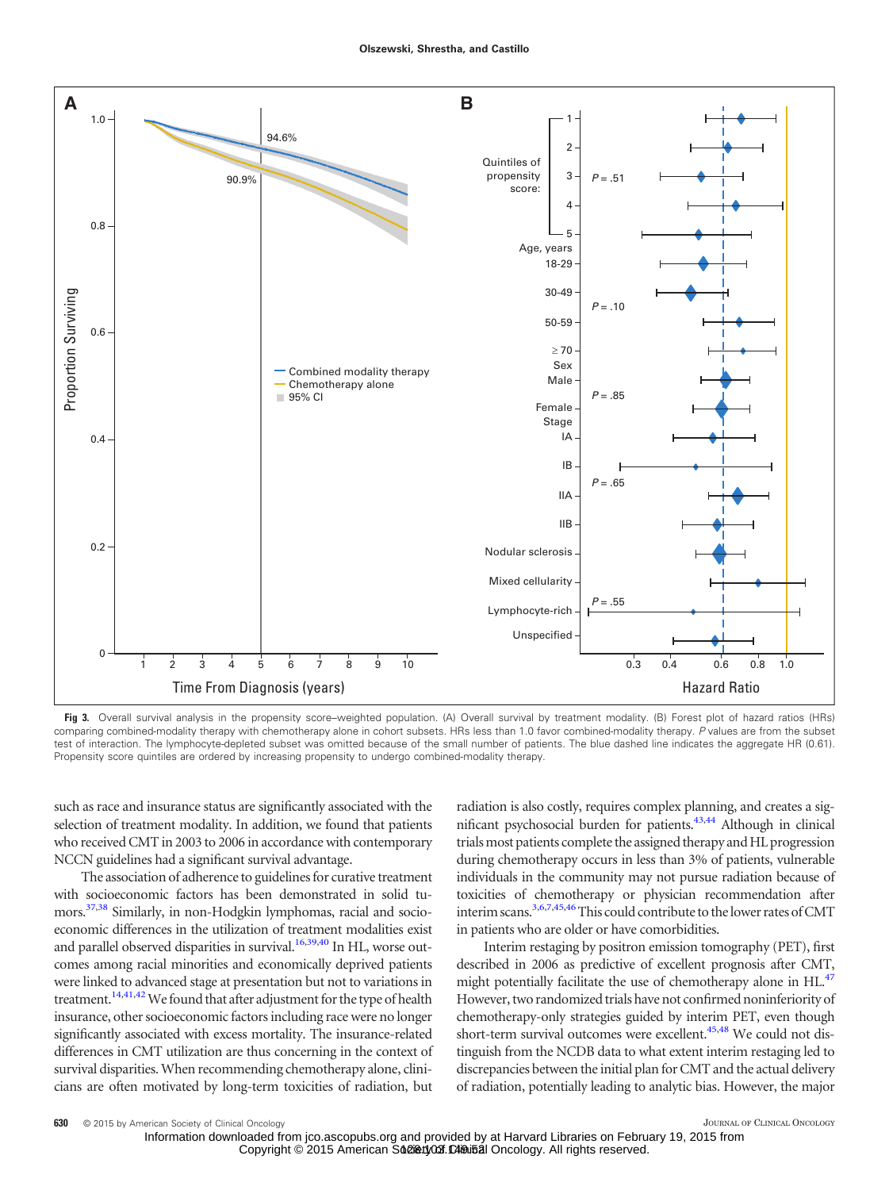

<span id="page-5-0"></span>Fig 3. Overall survival analysis in the propensity score–weighted population. (A) Overall survival by treatment modality. (B) Forest plot of hazard ratios (HRs) comparing combined-modality therapy with chemotherapy alone in cohort subsets. HRs less than 1.0 favor combined-modality therapy. *P* values are from the subset test of interaction. The lymphocyte-depleted subset was omitted because of the small number of patients. The blue dashed line indicates the aggregate HR (0.61). Propensity score quintiles are ordered by increasing propensity to undergo combined-modality therapy.

such as race and insurance status are significantly associated with the selection of treatment modality. In addition, we found that patients who received CMT in 2003 to 2006 in accordance with contemporary NCCN guidelines had a significant survival advantage.

The association of adherence to guidelines for curative treatment with socioeconomic factors has been demonstrated in solid tumors[.37](#page-7-20)[,38](#page-7-21) Similarly, in non-Hodgkin lymphomas, racial and socioeconomic differences in the utilization of treatment modalities exist and parallel observed disparities in survival.<sup>16[,39](#page-7-22)[,40](#page-7-23)</sup> In HL, worse outcomes among racial minorities and economically deprived patients were linked to advanced stage at presentation but not to variations in treatment.<sup>14[,41](#page-7-24)[,42](#page-7-25)</sup> We found that after adjustment for the type of health insurance, other socioeconomic factors including race were no longer significantly associated with excess mortality. The insurance-related differences in CMT utilization are thus concerning in the context of survival disparities. When recommending chemotherapy alone, clinicians are often motivated by long-term toxicities of radiation, but radiation is also costly, requires complex planning, and creates a sig-nificant psychosocial burden for patients.<sup>43[,44](#page-7-27)</sup> Although in clinical trials most patients complete the assigned therapy and HL progression during chemotherapy occurs in less than 3% of patients, vulnerable individuals in the community may not pursue radiation because of toxicities of chemotherapy or physician recommendation after interim scans.<sup>3,[6](#page-6-5)[,7,](#page-6-6)[45,](#page-7-28)[46](#page-7-29)</sup>This could contribute to the lower rates of CMT in patients who are older or have comorbidities.

Interim restaging by positron emission tomography (PET), first described in 2006 as predictive of excellent prognosis after CMT, might potentially facilitate the use of chemotherapy alone in HL.<sup>47</sup> However, two randomized trials have not confirmed noninferiority of chemotherapy-only strategies guided by interim PET, even though short-term survival outcomes were excellent.<sup>45[,48](#page-7-31)</sup> We could not distinguish from the NCDB data to what extent interim restaging led to discrepancies between the initial plan for CMT and the actual delivery of radiation, potentially leading to analytic bias. However, the major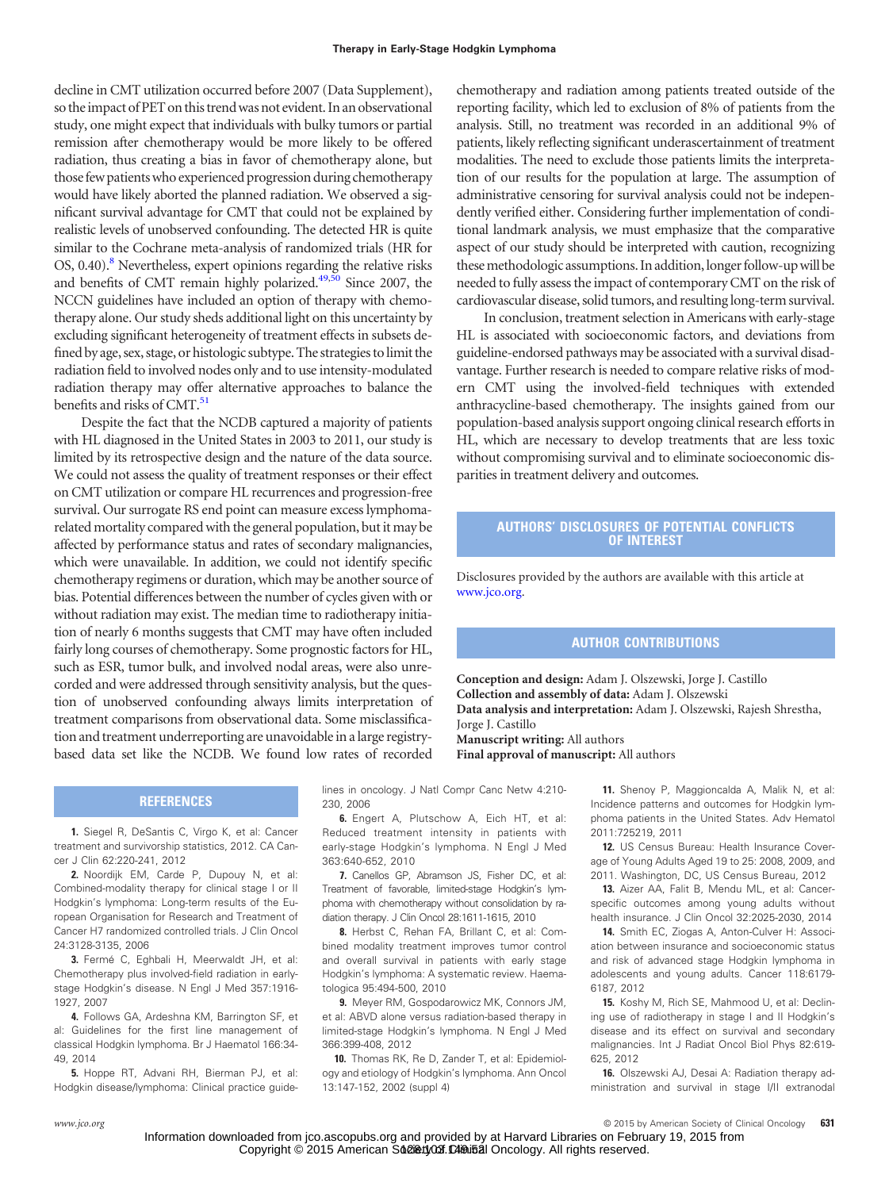decline in CMT utilization occurred before 2007 (Data Supplement), so the impact of PET on this trend was not evident. In an observational study, one might expect that individuals with bulky tumors or partial remission after chemotherapy would be more likely to be offered radiation, thus creating a bias in favor of chemotherapy alone, but those few patients who experienced progression during chemotherapy would have likely aborted the planned radiation. We observed a significant survival advantage for CMT that could not be explained by realistic levels of unobserved confounding. The detected HR is quite similar to the Cochrane meta-analysis of randomized trials (HR for  $OS$ , 0.40).<sup>8</sup> Nevertheless, expert opinions regarding the relative risks and benefits of CMT remain highly polarized. $49,50$  $49,50$  Since 2007, the NCCN guidelines have included an option of therapy with chemotherapy alone. Our study sheds additional light on this uncertainty by excluding significant heterogeneity of treatment effects in subsets defined by age, sex, stage, or histologic subtype. The strategies to limit the radiation field to involved nodes only and to use intensity-modulated radiation therapy may offer alternative approaches to balance the benefits and risks of CMT.<sup>51</sup>

Despite the fact that the NCDB captured a majority of patients with HL diagnosed in the United States in 2003 to 2011, our study is limited by its retrospective design and the nature of the data source. We could not assess the quality of treatment responses or their effect on CMT utilization or compare HL recurrences and progression-free survival. Our surrogate RS end point can measure excess lymphomarelated mortality compared with the general population, but it may be affected by performance status and rates of secondary malignancies, which were unavailable. In addition, we could not identify specific chemotherapy regimens or duration, which may be another source of bias. Potential differences between the number of cycles given with or without radiation may exist. The median time to radiotherapy initiation of nearly 6 months suggests that CMT may have often included fairly long courses of chemotherapy. Some prognostic factors for HL, such as ESR, tumor bulk, and involved nodal areas, were also unrecorded and were addressed through sensitivity analysis, but the question of unobserved confounding always limits interpretation of treatment comparisons from observational data. Some misclassification and treatment underreporting are unavoidable in a large registrybased data set like the NCDB. We found low rates of recorded

chemotherapy and radiation among patients treated outside of the reporting facility, which led to exclusion of 8% of patients from the analysis. Still, no treatment was recorded in an additional 9% of patients, likely reflecting significant underascertainment of treatment modalities. The need to exclude those patients limits the interpretation of our results for the population at large. The assumption of administrative censoring for survival analysis could not be independently verified either. Considering further implementation of conditional landmark analysis, we must emphasize that the comparative aspect of our study should be interpreted with caution, recognizing these methodologic assumptions. In addition, longer follow-up will be needed to fully assess the impact of contemporary CMT on the risk of cardiovascular disease, solid tumors, and resulting long-term survival.

In conclusion, treatment selection in Americans with early-stage HL is associated with socioeconomic factors, and deviations from guideline-endorsed pathways may be associated with a survival disadvantage. Further research is needed to compare relative risks of modern CMT using the involved-field techniques with extended anthracycline-based chemotherapy. The insights gained from our population-based analysis support ongoing clinical research efforts in HL, which are necessary to develop treatments that are less toxic without compromising survival and to eliminate socioeconomic disparities in treatment delivery and outcomes.

# **AUTHORS' DISCLOSURES OF POTENTIAL CONFLICTS OF INTEREST**

Disclosures provided by the authors are available with this article at [www.jco.org.](http://www.jco.org)

## **AUTHOR CONTRIBUTIONS**

**Conception and design:** Adam J. Olszewski, Jorge J. Castillo **Collection and assembly of data:** Adam J. Olszewski **Data analysis and interpretation:** Adam J. Olszewski, Rajesh Shrestha, Jorge J. Castillo **Manuscript writing:** All authors

**Final approval of manuscript:** All authors

## **REFERENCES**

<span id="page-6-0"></span>**1.** Siegel R, DeSantis C, Virgo K, et al: Cancer treatment and survivorship statistics, 2012. CA Cancer J Clin 62:220-241, 2012

<span id="page-6-1"></span>**2.** Noordijk EM, Carde P, Dupouy N, et al: Combined-modality therapy for clinical stage I or II Hodgkin's lymphoma: Long-term results of the European Organisation for Research and Treatment of Cancer H7 randomized controlled trials. J Clin Oncol 24:3128-3135, 2006

<span id="page-6-4"></span>**3.** Fermé C, Eghbali H, Meerwaldt JH, et al: Chemotherapy plus involved-field radiation in earlystage Hodgkin's disease. N Engl J Med 357:1916- 1927, 2007

<span id="page-6-2"></span>**4.** Follows GA, Ardeshna KM, Barrington SF, et al: Guidelines for the first line management of classical Hodgkin lymphoma. Br J Haematol 166:34- 49, 2014

<span id="page-6-3"></span>**5.** Hoppe RT, Advani RH, Bierman PJ, et al: Hodgkin disease/lymphoma: Clinical practice guidelines in oncology. J Natl Compr Canc Netw 4:210- 230, 2006

<span id="page-6-5"></span>**6.** Engert A, Plutschow A, Eich HT, et al: Reduced treatment intensity in patients with early-stage Hodgkin's lymphoma. N Engl J Med 363:640-652, 2010

<span id="page-6-6"></span>**7.** Canellos GP, Abramson JS, Fisher DC, et al: Treatment of favorable, limited-stage Hodgkin's lymphoma with chemotherapy without consolidation by radiation therapy. J Clin Oncol 28:1611-1615, 2010

<span id="page-6-7"></span>**8.** Herbst C, Rehan FA, Brillant C, et al: Combined modality treatment improves tumor control and overall survival in patients with early stage Hodgkin's lymphoma: A systematic review. Haematologica 95:494-500, 2010

<span id="page-6-8"></span>**9.** Meyer RM, Gospodarowicz MK, Connors JM, et al: ABVD alone versus radiation-based therapy in limited-stage Hodgkin's lymphoma. N Engl J Med 366:399-408, 2012

<span id="page-6-9"></span>**10.** Thomas RK, Re D, Zander T, et al: Epidemiology and etiology of Hodgkin's lymphoma. Ann Oncol 13:147-152, 2002 (suppl 4)

<span id="page-6-10"></span>**11.** Shenoy P, Maggioncalda A, Malik N, et al: Incidence patterns and outcomes for Hodgkin lymphoma patients in the United States. Adv Hematol 2011:725219, 2011

<span id="page-6-11"></span>**12.** US Census Bureau: Health Insurance Coverage of Young Adults Aged 19 to 25: 2008, 2009, and 2011. Washington, DC, US Census Bureau, 2012

<span id="page-6-12"></span>**13.** Aizer AA, Falit B, Mendu ML, et al: Cancerspecific outcomes among young adults without health insurance. J Clin Oncol 32:2025-2030, 2014

<span id="page-6-13"></span>**14.** Smith EC, Ziogas A, Anton-Culver H: Association between insurance and socioeconomic status and risk of advanced stage Hodgkin lymphoma in adolescents and young adults. Cancer 118:6179- 6187, 2012

<span id="page-6-14"></span>**15.** Koshy M, Rich SE, Mahmood U, et al: Declining use of radiotherapy in stage I and II Hodgkin's disease and its effect on survival and secondary malignancies. Int J Radiat Oncol Biol Phys 82:619- 625, 2012

<span id="page-6-15"></span>**16.** Olszewski AJ, Desai A: Radiation therapy administration and survival in stage I/II extranodal

Copyright © 2015 American Society of Clinical Oncology. All rights reserved.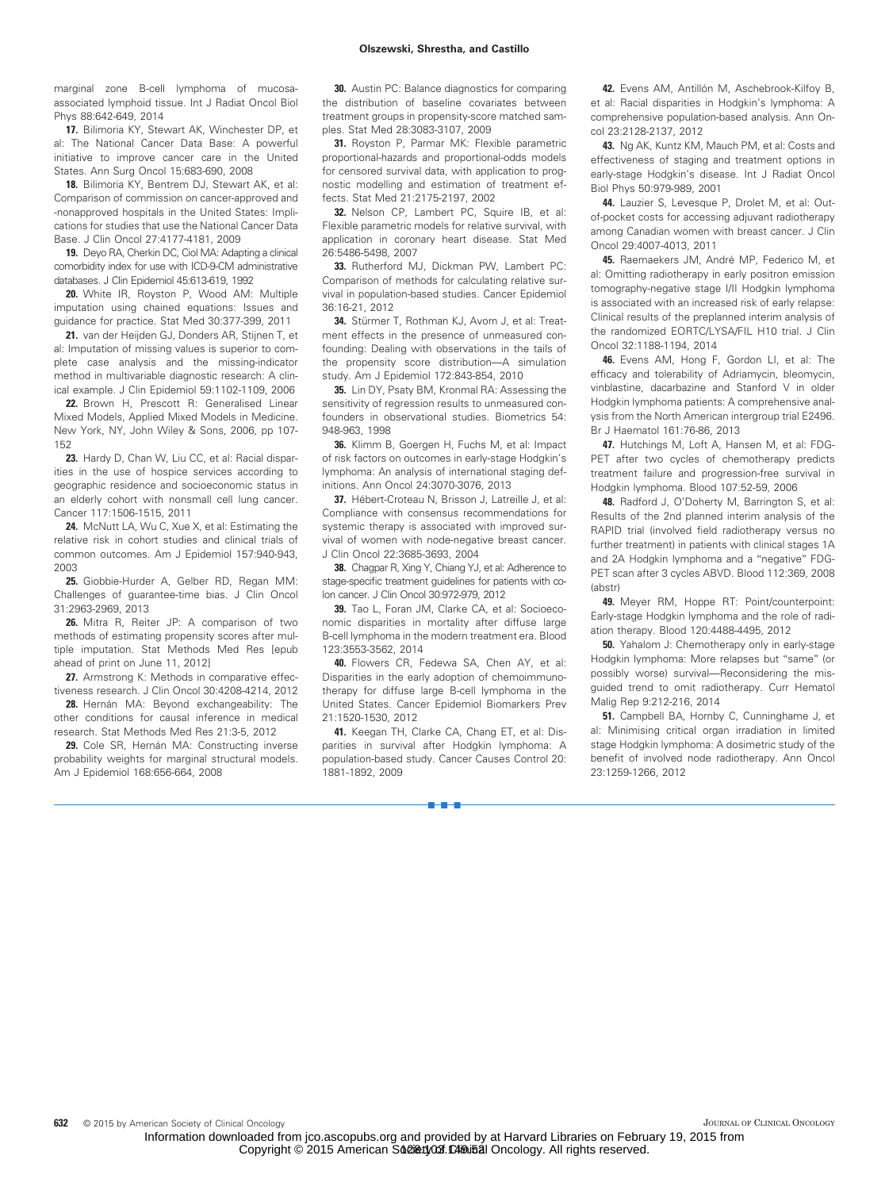marginal zone B-cell lymphoma of mucosaassociated lymphoid tissue. Int J Radiat Oncol Biol Phys 88:642-649, 2014

<span id="page-7-0"></span>**17.** Bilimoria KY, Stewart AK, Winchester DP, et al: The National Cancer Data Base: A powerful initiative to improve cancer care in the United States. Ann Surg Oncol 15:683-690, 2008

<span id="page-7-1"></span>**18.** Bilimoria KY, Bentrem DJ, Stewart AK, et al: Comparison of commission on cancer-approved and -nonapproved hospitals in the United States: Implications for studies that use the National Cancer Data Base. J Clin Oncol 27:4177-4181, 2009

<span id="page-7-2"></span>**19.** Deyo RA, Cherkin DC, Ciol MA: Adapting a clinical comorbidity index for use with ICD-9-CM administrative databases. J Clin Epidemiol 45:613-619, 1992

<span id="page-7-3"></span>**20.** White IR, Royston P, Wood AM: Multiple imputation using chained equations: Issues and guidance for practice. Stat Med 30:377-399, 2011

<span id="page-7-4"></span>**21.** van der Heijden GJ, Donders AR, Stijnen T, et al: Imputation of missing values is superior to complete case analysis and the missing-indicator method in multivariable diagnostic research: A clinical example. J Clin Epidemiol 59:1102-1109, 2006

<span id="page-7-5"></span>**22.** Brown H, Prescott R: Generalised Linear Mixed Models, Applied Mixed Models in Medicine. New York, NY, John Wiley & Sons, 2006, pp 107- 152

<span id="page-7-6"></span>**23.** Hardy D, Chan W, Liu CC, et al: Racial disparities in the use of hospice services according to geographic residence and socioeconomic status in an elderly cohort with nonsmall cell lung cancer. Cancer 117:1506-1515, 2011

<span id="page-7-7"></span>**24.** McNutt LA, Wu C, Xue X, et al: Estimating the relative risk in cohort studies and clinical trials of common outcomes. Am J Epidemiol 157:940-943, 2003

<span id="page-7-8"></span>**25.** Giobbie-Hurder A, Gelber RD, Regan MM: Challenges of guarantee-time bias. J Clin Oncol 31:2963-2969, 2013

<span id="page-7-9"></span>**26.** Mitra R, Reiter JP: A comparison of two methods of estimating propensity scores after multiple imputation. Stat Methods Med Res [epub ahead of print on June 11, 2012]

<span id="page-7-10"></span>**27.** Armstrong K: Methods in comparative effectiveness research. J Clin Oncol 30:4208-4214, 2012

<span id="page-7-11"></span>**28.** Hernán MA: Beyond exchangeability: The other conditions for causal inference in medical research. Stat Methods Med Res 21:3-5, 2012

<span id="page-7-12"></span>**29.** Cole SR, Hernán MA: Constructing inverse probability weights for marginal structural models. Am J Epidemiol 168:656-664, 2008

<span id="page-7-13"></span>**30.** Austin PC: Balance diagnostics for comparing the distribution of baseline covariates between treatment groups in propensity-score matched samples. Stat Med 28:3083-3107, 2009

<span id="page-7-14"></span>**31.** Royston P, Parmar MK: Flexible parametric proportional-hazards and proportional-odds models for censored survival data, with application to prognostic modelling and estimation of treatment effects. Stat Med 21:2175-2197, 2002

<span id="page-7-15"></span>**32.** Nelson CP, Lambert PC, Squire IB, et al: Flexible parametric models for relative survival, with application in coronary heart disease. Stat Med 26:5486-5498, 2007

<span id="page-7-16"></span>**33.** Rutherford MJ, Dickman PW, Lambert PC: Comparison of methods for calculating relative survival in population-based studies. Cancer Epidemiol 36:16-21, 2012

<span id="page-7-17"></span>**34.** Stürmer T, Rothman KJ, Avorn J, et al: Treatment effects in the presence of unmeasured confounding: Dealing with observations in the tails of the propensity score distribution—A simulation study. Am J Epidemiol 172:843-854, 2010

<span id="page-7-18"></span>**35.** Lin DY, Psaty BM, Kronmal RA: Assessing the sensitivity of regression results to unmeasured confounders in observational studies. Biometrics 54: 948-963, 1998

<span id="page-7-19"></span>**36.** Klimm B, Goergen H, Fuchs M, et al: Impact of risk factors on outcomes in early-stage Hodgkin's lymphoma: An analysis of international staging definitions. Ann Oncol 24:3070-3076, 2013

<span id="page-7-20"></span>**37.** Hébert-Croteau N, Brisson J, Latreille J, et al: Compliance with consensus recommendations for systemic therapy is associated with improved survival of women with node-negative breast cancer. J Clin Oncol 22:3685-3693, 2004

<span id="page-7-21"></span>**38.** Chagpar R, Xing Y, Chiang YJ, et al: Adherence to stage-specific treatment guidelines for patients with colon cancer. J Clin Oncol 30:972-979, 2012

<span id="page-7-22"></span>**39.** Tao L, Foran JM, Clarke CA, et al: Socioeconomic disparities in mortality after diffuse large B-cell lymphoma in the modern treatment era. Blood 123:3553-3562, 2014

<span id="page-7-23"></span>**40.** Flowers CR, Fedewa SA, Chen AY, et al: Disparities in the early adoption of chemoimmunotherapy for diffuse large B-cell lymphoma in the United States. Cancer Epidemiol Biomarkers Prev 21:1520-1530, 2012

<span id="page-7-24"></span>**41.** Keegan TH, Clarke CA, Chang ET, et al: Disparities in survival after Hodgkin lymphoma: A population-based study. Cancer Causes Control 20: 1881-1892, 2009

■■■

<span id="page-7-25"></span>**42.** Evens AM, Antillón M, Aschebrook-Kilfoy B, et al: Racial disparities in Hodgkin's lymphoma: A comprehensive population-based analysis. Ann Oncol 23:2128-2137, 2012

<span id="page-7-26"></span>**43.** Ng AK, Kuntz KM, Mauch PM, et al: Costs and effectiveness of staging and treatment options in early-stage Hodgkin's disease. Int J Radiat Oncol Biol Phys 50:979-989, 2001

<span id="page-7-27"></span>**44.** Lauzier S, Levesque P, Drolet M, et al: Outof-pocket costs for accessing adjuvant radiotherapy among Canadian women with breast cancer. J Clin Oncol 29:4007-4013, 2011

<span id="page-7-28"></span>**45.** Raemaekers JM, André MP, Federico M, et al: Omitting radiotherapy in early positron emission tomography-negative stage I/II Hodgkin lymphoma is associated with an increased risk of early relapse: Clinical results of the preplanned interim analysis of the randomized EORTC/LYSA/FIL H10 trial. J Clin Oncol 32:1188-1194, 2014

<span id="page-7-29"></span>**46.** Evens AM, Hong F, Gordon LI, et al: The efficacy and tolerability of Adriamycin, bleomycin, vinblastine, dacarbazine and Stanford V in older Hodgkin lymphoma patients: A comprehensive analysis from the North American intergroup trial E2496. Br J Haematol 161:76-86, 2013

<span id="page-7-30"></span>**47.** Hutchings M, Loft A, Hansen M, et al: FDG-PET after two cycles of chemotherapy predicts treatment failure and progression-free survival in Hodgkin lymphoma. Blood 107:52-59, 2006

<span id="page-7-31"></span>**48.** Radford J, O'Doherty M, Barrington S, et al: Results of the 2nd planned interim analysis of the RAPID trial (involved field radiotherapy versus no further treatment) in patients with clinical stages 1A and 2A Hodgkin lymphoma and a "negative" FDG-PET scan after 3 cycles ABVD. Blood 112:369, 2008 (abstr)

<span id="page-7-32"></span>**49.** Meyer RM, Hoppe RT: Point/counterpoint: Early-stage Hodgkin lymphoma and the role of radiation therapy. Blood 120:4488-4495, 2012

<span id="page-7-33"></span>**50.** Yahalom J: Chemotherapy only in early-stage Hodgkin lymphoma: More relapses but "same" (or possibly worse) survival—Reconsidering the misguided trend to omit radiotherapy. Curr Hematol Malig Rep 9:212-216, 2014

<span id="page-7-34"></span>**51.** Campbell BA, Hornby C, Cunninghame J, et al: Minimising critical organ irradiation in limited stage Hodgkin lymphoma: A dosimetric study of the benefit of involved node radiotherapy. Ann Oncol 23:1259-1266, 2012

**632** © 2015 by American Society of Clinical Oncology JOURNAL OF CLINICAL ONCOLOGY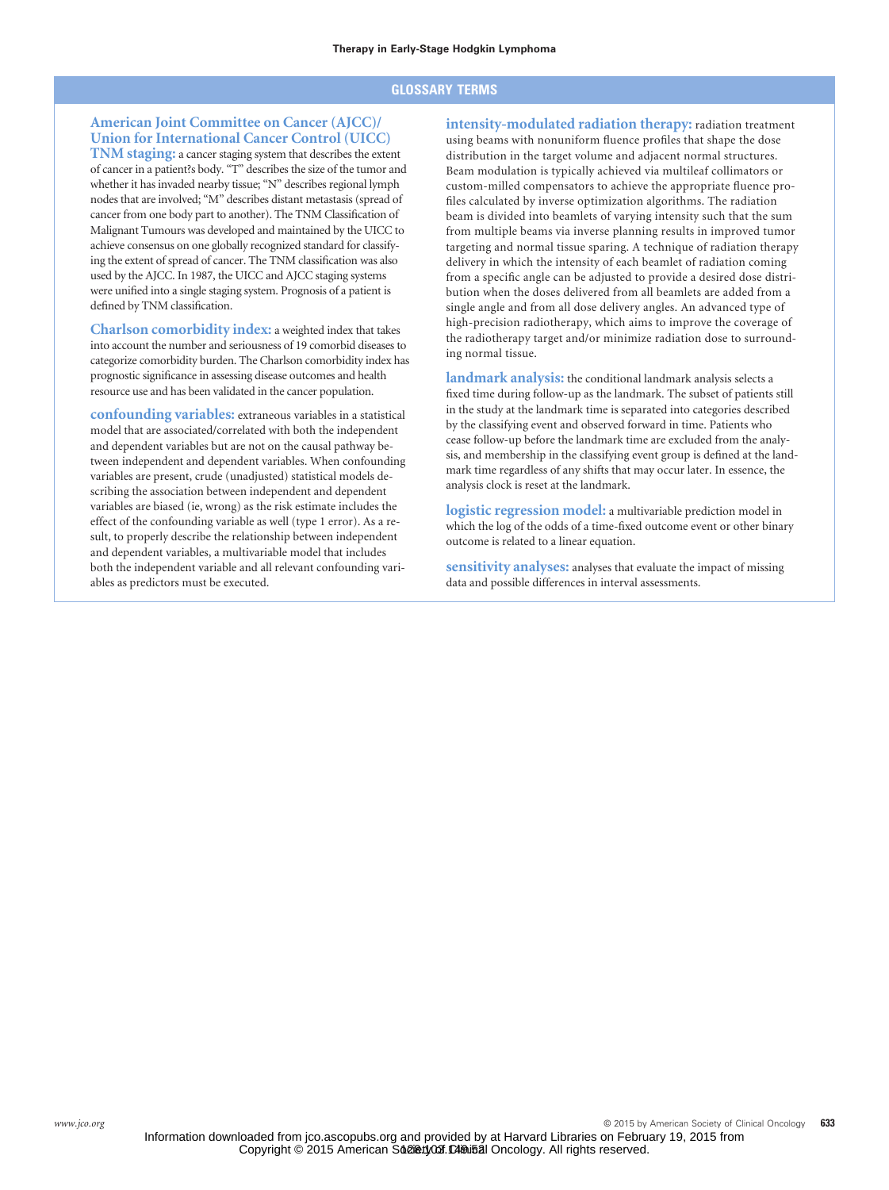## **GLOSSARY TERMS**

## **American Joint Committee on Cancer (AJCC)/ Union for International Cancer Control (UICC)**

**TNM staging:** a cancer staging system that describes the extent of cancer in a patient?s body. "T" describes the size of the tumor and whether it has invaded nearby tissue; "N" describes regional lymph nodes that are involved; "M" describes distant metastasis (spread of cancer from one body part to another). The TNM Classification of Malignant Tumours was developed and maintained by the UICC to achieve consensus on one globally recognized standard for classifying the extent of spread of cancer. The TNM classification was also used by the AJCC. In 1987, the UICC and AJCC staging systems were unified into a single staging system. Prognosis of a patient is defined by TNM classification.

**Charlson comorbidity index:** a weighted index that takes into account the number and seriousness of 19 comorbid diseases to categorize comorbidity burden. The Charlson comorbidity index has prognostic significance in assessing disease outcomes and health resource use and has been validated in the cancer population.

**confounding variables:** extraneous variables in a statistical model that are associated/correlated with both the independent and dependent variables but are not on the causal pathway between independent and dependent variables. When confounding variables are present, crude (unadjusted) statistical models describing the association between independent and dependent variables are biased (ie, wrong) as the risk estimate includes the effect of the confounding variable as well (type 1 error). As a result, to properly describe the relationship between independent and dependent variables, a multivariable model that includes both the independent variable and all relevant confounding variables as predictors must be executed.

**intensity-modulated radiation therapy:** radiation treatment using beams with nonuniform fluence profiles that shape the dose distribution in the target volume and adjacent normal structures. Beam modulation is typically achieved via multileaf collimators or custom-milled compensators to achieve the appropriate fluence profiles calculated by inverse optimization algorithms. The radiation beam is divided into beamlets of varying intensity such that the sum from multiple beams via inverse planning results in improved tumor targeting and normal tissue sparing. A technique of radiation therapy delivery in which the intensity of each beamlet of radiation coming from a specific angle can be adjusted to provide a desired dose distribution when the doses delivered from all beamlets are added from a single angle and from all dose delivery angles. An advanced type of high-precision radiotherapy, which aims to improve the coverage of the radiotherapy target and/or minimize radiation dose to surrounding normal tissue.

**landmark analysis:** the conditional landmark analysis selects a fixed time during follow-up as the landmark. The subset of patients still in the study at the landmark time is separated into categories described by the classifying event and observed forward in time. Patients who cease follow-up before the landmark time are excluded from the analysis, and membership in the classifying event group is defined at the landmark time regardless of any shifts that may occur later. In essence, the analysis clock is reset at the landmark.

**logistic regression model:** a multivariable prediction model in which the log of the odds of a time-fixed outcome event or other binary outcome is related to a linear equation.

**sensitivity analyses:** analyses that evaluate the impact of missing data and possible differences in interval assessments.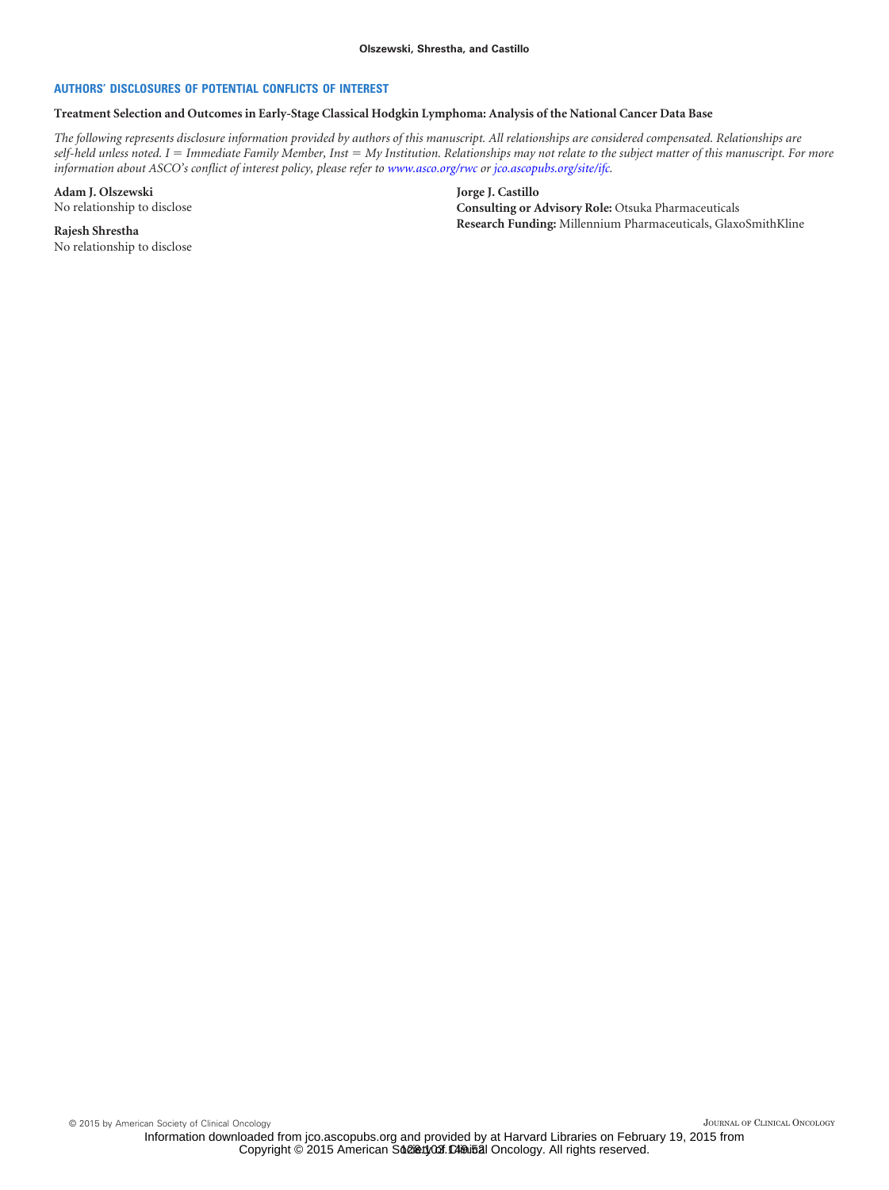## **AUTHORS' DISCLOSURES OF POTENTIAL CONFLICTS OF INTEREST**

# **Treatment Selection and Outcomes in Early-Stage Classical Hodgkin Lymphoma: Analysis of the National Cancer Data Base**

*The following represents disclosure information provided by authors of this manuscript. All relationships are considered compensated. Relationships are self-held unless noted. I Immediate Family Member, Inst My Institution. Relationships may not relate to the subject matter of this manuscript. For more information about ASCO's conflict of interest policy, please refer to [www.asco.org/rwc](http://www.asco.org/rwc) or [jco.ascopubs.org/site/ifc.](http://jco.ascopubs.org/site/ifc)*

**Adam J. Olszewski** No relationship to disclose

**Rajesh Shrestha** No relationship to disclose **Jorge J. Castillo Consulting or Advisory Role:** Otsuka Pharmaceuticals **Research Funding:** Millennium Pharmaceuticals, GlaxoSmithKline